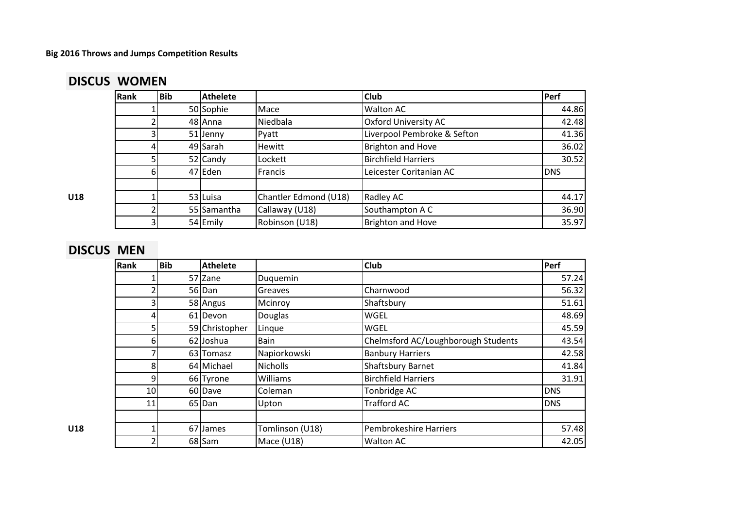# **DISCUS WOMEN**

|     | Rank | Bib | <b>Athelete</b> |                       | <b>Club</b>                 | Perf       |
|-----|------|-----|-----------------|-----------------------|-----------------------------|------------|
|     |      |     | 50 Sophie       | Mace                  | Walton AC                   | 44.86      |
|     |      |     | 48 Anna         | Niedbala              | <b>Oxford University AC</b> | 42.48      |
|     |      |     | 51 Jenny        | Pyatt                 | Liverpool Pembroke & Sefton | 41.36      |
|     |      |     | 49 Sarah        | Hewitt                | <b>Brighton and Hove</b>    | 36.02      |
|     |      |     | 52 Candy        | Lockett               | <b>Birchfield Harriers</b>  | 30.52      |
|     | 61   |     | 47 Eden         | Francis               | Leicester Coritanian AC     | <b>DNS</b> |
|     |      |     |                 |                       |                             |            |
| U18 |      |     | 53 Luisa        | Chantler Edmond (U18) | Radley AC                   | 44.17      |
|     |      |     | 55 Samantha     | Callaway (U18)        | Southampton A C             | 36.90      |
|     |      |     | 54 Emily        | Robinson (U18)        | <b>Brighton and Hove</b>    | 35.97      |

# **DISCUS MEN**

| Rank            | Bib | <b>Athelete</b> |                 | <b>Club</b>                         | Perf       |
|-----------------|-----|-----------------|-----------------|-------------------------------------|------------|
|                 |     | 57 Zane         | Duquemin        |                                     | 57.24      |
|                 |     | 56 Dan          | Greaves         | Charnwood                           | 56.32      |
|                 |     | 58 Angus        | Mcinroy         | Shaftsbury                          | 51.61      |
| 41              |     | 61 Devon        | Douglas         | <b>WGEL</b>                         | 48.69      |
|                 |     | 59 Christopher  | Linque          | <b>WGEL</b>                         | 45.59      |
| 61              |     | 62 Joshua       | Bain            | Chelmsford AC/Loughborough Students | 43.54      |
|                 |     | 63 Tomasz       | Napiorkowski    | <b>Banbury Harriers</b>             | 42.58      |
| 8               |     | 64 Michael      | <b>Nicholls</b> | <b>Shaftsbury Barnet</b>            | 41.84      |
| 9               |     | 66 Tyrone       | Williams        | <b>Birchfield Harriers</b>          | 31.91      |
| 10 <sup>1</sup> |     | 60 Dave         | Coleman         | Tonbridge AC                        | <b>DNS</b> |
| 11              |     | 65 Dan          | Upton           | <b>Trafford AC</b>                  | <b>DNS</b> |
|                 |     |                 |                 |                                     |            |
|                 |     | 67 James        | Tomlinson (U18) | <b>Pembrokeshire Harriers</b>       | 57.48      |
|                 |     | 68 Sam          | Mace $(U18)$    | <b>Walton AC</b>                    | 42.05      |
|                 |     |                 |                 |                                     |            |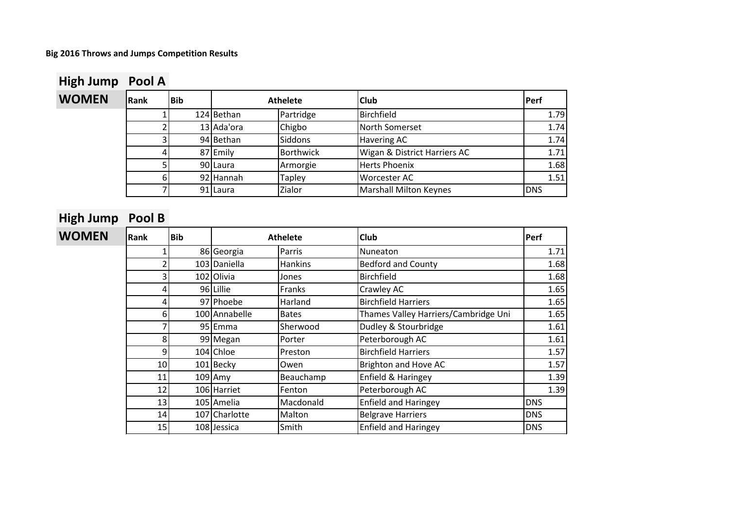| High Jump    | Pool A |            |            |                  |                               |            |
|--------------|--------|------------|------------|------------------|-------------------------------|------------|
| <b>WOMEN</b> | Rank   | <b>Bib</b> |            | <b>Athelete</b>  | <b>Club</b>                   | Perf       |
|              |        |            | 124 Bethan | Partridge        | Birchfield                    | 1.79       |
|              |        |            | 13 Ada'ora | Chigbo           | <b>North Somerset</b>         | 1.74       |
|              |        |            | 94 Bethan  | <b>Siddons</b>   | <b>Havering AC</b>            | 1.74       |
|              |        |            | 87 Emily   | <b>Borthwick</b> | Wigan & District Harriers AC  | 1.71       |
|              |        |            | 90 Laura   | Armorgie         | <b>Herts Phoenix</b>          | 1.68       |
|              |        |            | 92 Hannah  | <b>Tapley</b>    | Worcester AC                  | 1.51       |
|              |        |            | 91 Laura   | Zialor           | <b>Marshall Milton Keynes</b> | <b>DNS</b> |

| High Jump    | Pool B |            |               |                 |                                      |            |
|--------------|--------|------------|---------------|-----------------|--------------------------------------|------------|
| <b>WOMEN</b> | Rank   | <b>Bib</b> |               | <b>Athelete</b> | Club                                 | Perf       |
|              |        |            | 86 Georgia    | Parris          | Nuneaton                             | 1.71       |
|              |        |            | 103 Daniella  | Hankins         | <b>Bedford and County</b>            | 1.68       |
|              |        |            | 102 Olivia    | Jones           | <b>Birchfield</b>                    | 1.68       |
|              |        |            | 96 Lillie     | Franks          | Crawley AC                           | 1.65       |
|              |        |            | 97 Phoebe     | Harland         | <b>Birchfield Harriers</b>           | 1.65       |
|              | 6      |            | 100 Annabelle | <b>Bates</b>    | Thames Valley Harriers/Cambridge Uni | 1.65       |
|              |        |            | 95 Emma       | Sherwood        | Dudley & Stourbridge                 | 1.61       |
|              | 8      |            | 99 Megan      | Porter          | Peterborough AC                      | 1.61       |
|              | 9      |            | 104 Chloe     | Preston         | <b>Birchfield Harriers</b>           | 1.57       |
|              | 10     |            | 101 Becky     | Owen            | Brighton and Hove AC                 | 1.57       |
|              | 11     |            | $109$ Amy     | Beauchamp       | Enfield & Haringey                   | 1.39       |
|              | 12     |            | 106 Harriet   | Fenton          | Peterborough AC                      | 1.39       |
|              | 13     |            | 105 Amelia    | Macdonald       | <b>Enfield and Haringey</b>          | <b>DNS</b> |
|              | 14     |            | 107 Charlotte | Malton          | <b>Belgrave Harriers</b>             | <b>DNS</b> |
|              | 15     |            | 108 Jessica   | Smith           | <b>Enfield and Haringey</b>          | <b>DNS</b> |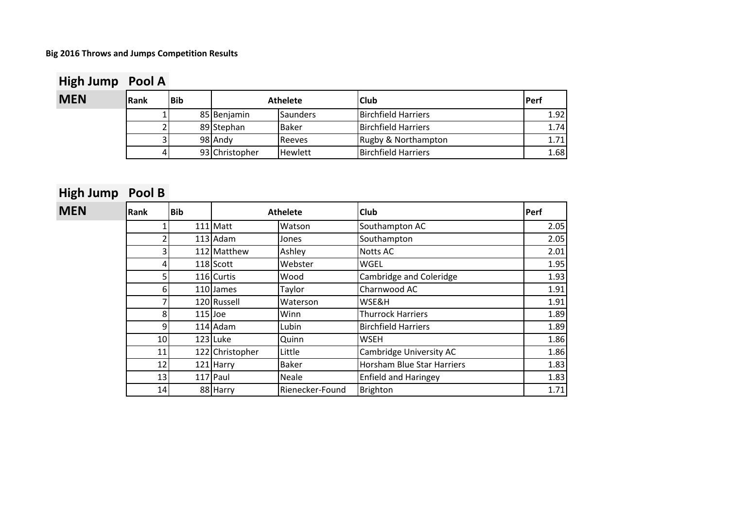# **High Jump Pool A**

| <b>MEN</b> | <b>Rank</b> | <b>Bib</b> |                | <b>Athelete</b> | <b>Club</b>                | <b>Perf</b> |
|------------|-------------|------------|----------------|-----------------|----------------------------|-------------|
|            |             |            | 85 Benjamin    | Saunders        | <b>Birchfield Harriers</b> | 1.92        |
|            |             |            | 89 Stephan     | <b>Baker</b>    | <b>Birchfield Harriers</b> | 1.74        |
|            |             |            | 98 Andy        | <b>I</b> Reeves | Rugby & Northampton        | 1.71        |
|            |             |            | 93 Christopher | <b>Hewlett</b>  | <b>Birchfield Harriers</b> | 1.68        |

# **High Jump Pool B**

| <b>MEN</b> | <b>Rank</b>     | Bib       | <b>Athelete</b> |                 | <b>Club</b>                 | Perf |
|------------|-----------------|-----------|-----------------|-----------------|-----------------------------|------|
|            |                 |           | 111 Matt        | Watson          | Southampton AC              | 2.05 |
|            |                 |           | $113$ Adam      | Jones           | Southampton                 | 2.05 |
|            |                 |           | 112 Matthew     | Ashley          | <b>Notts AC</b>             | 2.01 |
|            |                 |           | 118 Scott       | Webster         | WGEL                        | 1.95 |
|            |                 |           | 116 Curtis      | Wood            | Cambridge and Coleridge     | 1.93 |
|            | 6               |           | 110 James       | Taylor          | Charnwood AC                | 1.91 |
|            |                 |           | 120 Russell     | Waterson        | WSE&H                       | 1.91 |
|            |                 | $115$ Joe |                 | Winn            | <b>Thurrock Harriers</b>    | 1.89 |
|            | 9               |           | 114 Adam        | Lubin           | <b>Birchfield Harriers</b>  | 1.89 |
|            | 10              |           | 123 Luke        | Quinn           | <b>WSEH</b>                 | 1.86 |
|            | 11              |           | 122 Christopher | Little          | Cambridge University AC     | 1.86 |
|            | 12 <sub>1</sub> |           | 121 Harry       | <b>Baker</b>    | Horsham Blue Star Harriers  | 1.83 |
|            | 13              |           | 117 Paul        | <b>Neale</b>    | <b>Enfield and Haringey</b> | 1.83 |
|            | 14              |           | 88 Harry        | Rienecker-Found | Brighton                    | 1.71 |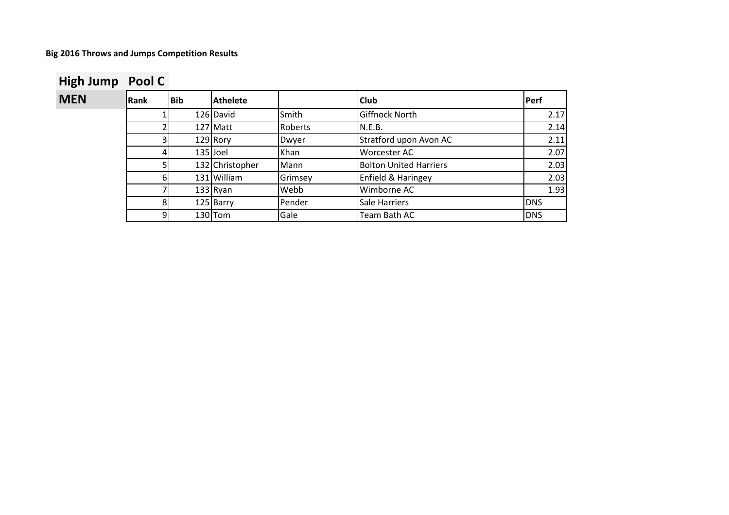# **High Jump Pool C**<br>**MEN** Rank

| <b>MEN</b> | <b>Rank</b> | Bib | <b>Athelete</b> |         | <b>Club</b>                   | Perf       |
|------------|-------------|-----|-----------------|---------|-------------------------------|------------|
|            |             |     | 126 David       | Smith   | Giffnock North                | 2.17       |
|            |             |     | 127 Matt        | Roberts | N.E.B.                        | 2.14       |
|            |             |     | $129$ Rory      | Dwyer   | Stratford upon Avon AC        | 2.11       |
|            |             |     | 135 Joel        | Khan    | <b>Worcester AC</b>           | 2.07       |
|            |             |     | 132 Christopher | Mann    | <b>Bolton United Harriers</b> | 2.03       |
|            |             |     | 131 William     | Grimsey | Enfield & Haringey            | 2.03       |
|            |             |     | $133$ Ryan      | Webb    | Wimborne AC                   | 1.93       |
|            |             |     | 125 Barry       | Pender  | Sale Harriers                 | <b>DNS</b> |
|            |             |     | 130 Tom         | Gale    | Team Bath AC                  | <b>DNS</b> |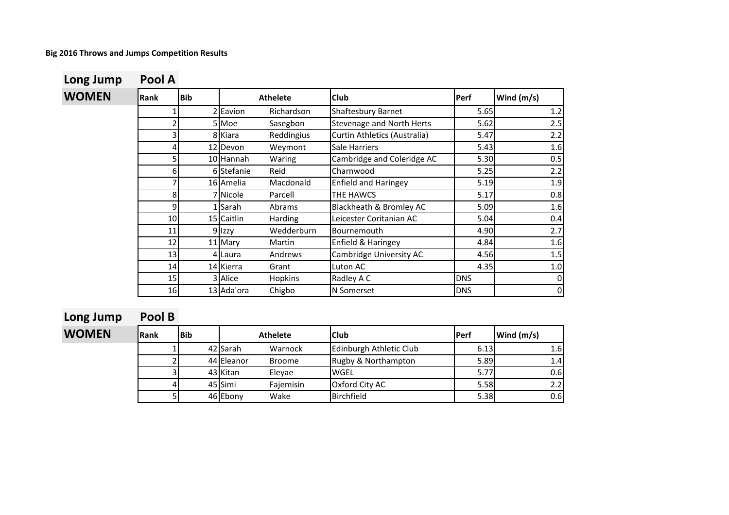# **Long Jump Pool A**

# $WOMEN$

| Rank | <b>Bib</b> |            | <b>Athelete</b> | Club                             | Perf       | Wind (m/s) |
|------|------------|------------|-----------------|----------------------------------|------------|------------|
|      | 2          | Eavion     | Richardson      | Shaftesbury Barnet               | 5.65       | 1.2        |
| 2    |            | 5 Moe      | Sasegbon        | <b>Stevenage and North Herts</b> | 5.62       | 2.5        |
| 3    |            | 8 Kiara    | Reddingius      | Curtin Athletics (Australia)     | 5.47       | 2.2        |
| 4    |            | 12 Devon   | Weymont         | Sale Harriers                    | 5.43       | 1.6        |
| 5    |            | 10 Hannah  | Waring          | Cambridge and Coleridge AC       | 5.30       | 0.5        |
| 6    |            | 6 Stefanie | Reid            | Charnwood                        | 5.25       | 2.2        |
| 7    |            | 16 Amelia  | Macdonald       | <b>Enfield and Haringey</b>      | 5.19       | 1.9        |
| 8    |            | 7 Nicole   | Parcell         | THE HAWCS                        | 5.17       | 0.8        |
| 9    |            | Sarah      | Abrams          | Blackheath & Bromley AC          | 5.09       | 1.6        |
| 10   |            | 15 Caitlin | Harding         | Leicester Coritanian AC          | 5.04       | 0.4        |
| 11   |            | 9 Izzy     | Wedderburn      | Bournemouth                      | 4.90       | 2.7        |
| 12   |            | 11 Mary    | Martin          | Enfield & Haringey               | 4.84       | 1.6        |
| 13   |            | 4 Laura    | Andrews         | Cambridge University AC          | 4.56       | 1.5        |
| 14   |            | 14 Kierra  | Grant           | Luton AC                         | 4.35       | $1.0\,$    |
| 15   |            | 3 Alice    | Hopkins         | Radley A C                       | <b>DNS</b> | 0          |
| 16   |            | 13 Ada'ora | Chigbo          | N Somerset                       | <b>DNS</b> | $\pmb{0}$  |

# **Long Jump Pool B**

| <b>WOMEN</b> | <b>Rank</b> | <b>Bib</b> | <b>Athelete</b> |               | <b>Club</b>             | <b>Perf</b> | Wind (m/s)       |
|--------------|-------------|------------|-----------------|---------------|-------------------------|-------------|------------------|
|              |             |            | 42 Sarah        | Warnock       | Edinburgh Athletic Club | 6.13        | 1.61             |
|              |             |            | 44 Eleanor      | <b>Broome</b> | Rugby & Northampton     | 5.89        | 1.4              |
|              |             |            | 43 Kitan        | Elevae        | <b>WGEL</b>             | 5.77        | 0.6              |
|              |             |            | 45 Simi         | Fajemisin     | Oxford City AC          | 5.58        | 2.21             |
|              |             |            | 46 Ebony        | Wake          | Birchfield              | 5.38        | 0.6 <sub>l</sub> |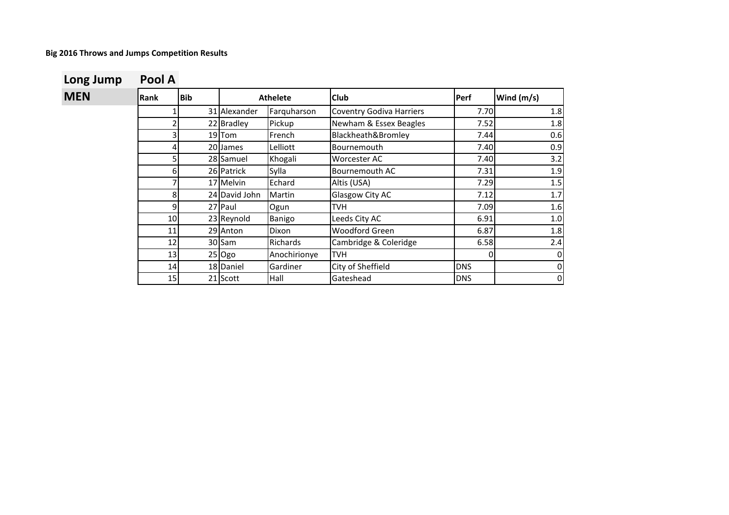| <b>MEN</b> | <b>IRank</b> | <b>Bib</b> |               | <b>Athelete</b> | <b>Club</b>                     | Perf       | Wind $(m/s)$ |
|------------|--------------|------------|---------------|-----------------|---------------------------------|------------|--------------|
|            |              |            | 31 Alexander  | Farquharson     | <b>Coventry Godiva Harriers</b> | 7.70       | 1.8          |
|            |              |            | 22 Bradley    | Pickup          | Newham & Essex Beagles          | 7.52       | 1.8          |
|            |              |            | 19 Tom        | French          | Blackheath&Bromley              | 7.44       | 0.6          |
|            | 4            |            | 20 James      | Lelliott        | Bournemouth                     | 7.40       | 0.9          |
|            | 5            |            | 28 Samuel     | Khogali         | Worcester AC                    | 7.40       | 3.2          |
|            | 6            |            | 26 Patrick    | Sylla           | Bournemouth AC                  | 7.31       | 1.9          |
|            |              |            | 17 Melvin     | Echard          | Altis (USA)                     | 7.29       | 1.5          |
|            | 8            |            | 24 David John | Martin          | Glasgow City AC                 | 7.12       | 1.7          |
|            | 9            |            | 27 Paul       | Ogun            | <b>TVH</b>                      | 7.09       | 1.6          |
|            | 10           |            | 23 Reynold    | Banigo          | Leeds City AC                   | 6.91       | 1.0          |
|            | 11           |            | 29 Anton      | Dixon           | <b>Woodford Green</b>           | 6.87       | 1.8          |
|            | 12           |            | 30 Sam        | Richards        | Cambridge & Coleridge           | 6.58       | 2.4          |
|            | 13           |            | $25$ Ogo      | Anochirionye    | <b>TVH</b>                      | 0          | 0            |
|            | 14           |            | 18 Daniel     | Gardiner        | City of Sheffield               | <b>DNS</b> | 0            |
|            | 15           |            | 21 Scott      | Hall            | Gateshead                       | <b>DNS</b> | 0            |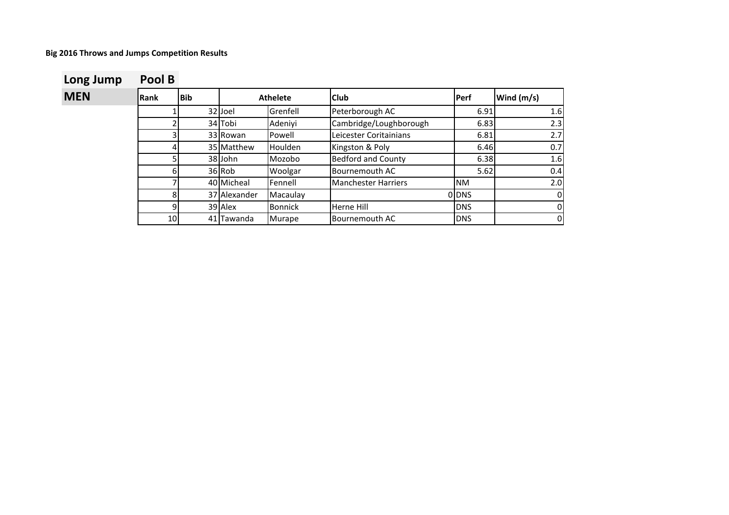| Long Jump | Pool B |  |
|-----------|--------|--|
|-----------|--------|--|

| <b>MEN</b> | <b>IRank</b> | <b>Bib</b> |              | <b>Athelete</b> | <b>Club</b>                | <b>Perf</b> | Wind (m/s) |
|------------|--------------|------------|--------------|-----------------|----------------------------|-------------|------------|
|            |              |            | 32 Joel      | Grenfell        | Peterborough AC            | 6.91        | 1.6        |
|            |              |            | 34 Tobi      | Adeniyi         | Cambridge/Loughborough     | 6.83        | 2.3        |
|            |              |            | 33 Rowan     | Powell          | Leicester Coritainians     | 6.81        | 2.7        |
|            |              |            | 35 Matthew   | Houlden         | Kingston & Poly            | 6.46        | 0.7        |
|            |              |            | 38 John      | Mozobo          | <b>Bedford and County</b>  | 6.38        | 1.6        |
|            | 6            |            | 36 Rob       | Woolgar         | <b>Bournemouth AC</b>      | 5.62        | 0.4        |
|            |              |            | 40 Micheal   | Fennell         | <b>Manchester Harriers</b> | <b>NM</b>   | 2.0        |
|            | 8            |            | 37 Alexander | Macaulay        |                            | 0 DNS       | 0          |
|            | 9            |            | 39 Alex      | <b>Bonnick</b>  | Herne Hill                 | <b>DNS</b>  | 0          |
|            | 10           |            | 41 Tawanda   | <b>Murape</b>   | Bournemouth AC             | <b>DNS</b>  | 0          |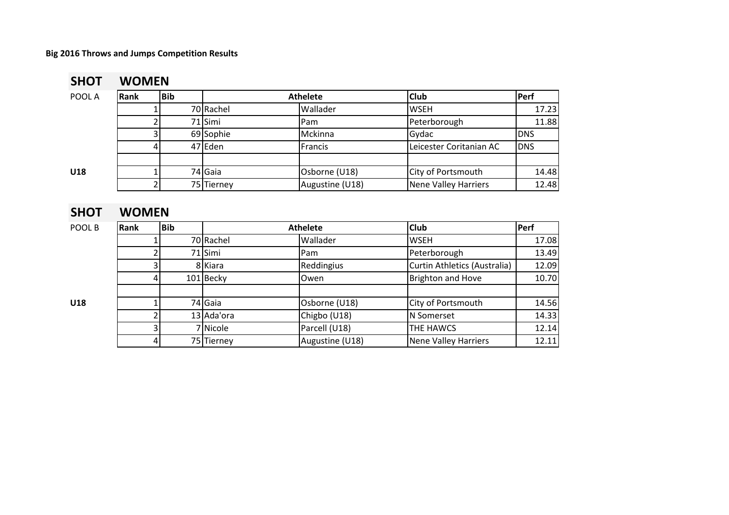# **SHOT WOMEN**

| POOL A | Rank | <b>Bib</b> |            | <b>Athelete</b> | <b>Club</b>             | Perf       |
|--------|------|------------|------------|-----------------|-------------------------|------------|
|        |      |            | 70 Rachel  | Wallader        | <b>WSEH</b>             | 17.23      |
|        |      |            | 71 Simi    | Pam             | Peterborough            | 11.88      |
|        |      |            | 69 Sophie  | Mckinna         | Gydac                   | <b>DNS</b> |
|        |      |            | 47 Eden    | Francis         | Leicester Coritanian AC | <b>DNS</b> |
|        |      |            |            |                 |                         |            |
| U18    |      |            | 74 Gaia    | Osborne (U18)   | City of Portsmouth      | 14.48      |
|        |      |            | 75 Tierney | Augustine (U18) | Nene Valley Harriers    | 12.48      |

# **SHOT WOMEN**

| POOL B | Rank | <b>Bib</b> |            | <b>Athelete</b> | <b>Club</b>                  | Perf  |
|--------|------|------------|------------|-----------------|------------------------------|-------|
|        |      |            | 70 Rachel  | Wallader        | <b>WSEH</b>                  | 17.08 |
|        |      |            | 71 Simi    | <b>Pam</b>      | Peterborough                 | 13.49 |
|        |      |            | 8 Kiara    | Reddingius      | Curtin Athletics (Australia) | 12.09 |
|        |      |            | 101 Becky  | lOwen           | <b>Brighton and Hove</b>     | 10.70 |
| U18    |      |            | 74 Gaia    | Osborne (U18)   | City of Portsmouth           | 14.56 |
|        |      |            | 13 Ada'ora | Chigbo (U18)    | N Somerset                   | 14.33 |
|        |      |            | 7 Nicole   | Parcell (U18)   | <b>THE HAWCS</b>             | 12.14 |
|        |      |            | 75 Tierney | Augustine (U18) | Nene Valley Harriers         | 12.11 |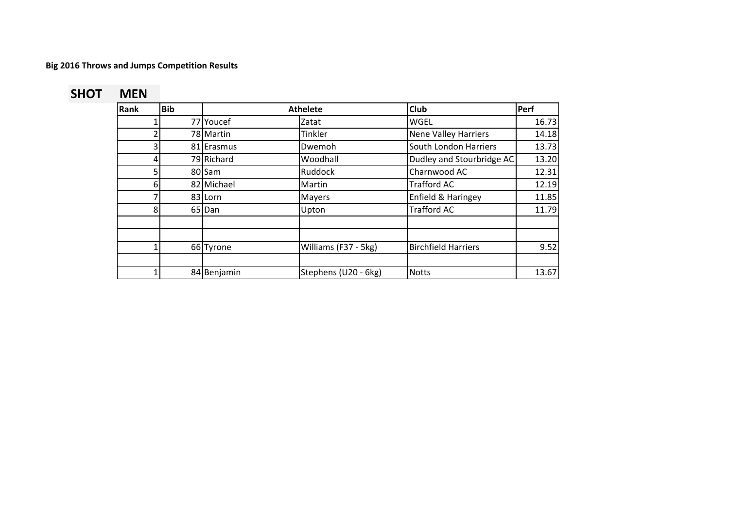# **SHOT MEN**

| Rank | <b>Bib</b> |             | <b>Athelete</b>      | <b>Club</b>                 | Perf  |
|------|------------|-------------|----------------------|-----------------------------|-------|
|      |            | 77 Youcef   | Zatat                | <b>WGEL</b>                 | 16.73 |
|      |            | 78 Martin   | Tinkler              | <b>Nene Valley Harriers</b> | 14.18 |
| ς    |            | 81 Erasmus  | Dwemoh               | South London Harriers       | 13.73 |
|      |            | 79 Richard  | Woodhall             | Dudley and Stourbridge AC   | 13.20 |
| 5    |            | 80 Sam      | Ruddock              | Charnwood AC                | 12.31 |
| 6    |            | 82 Michael  | Martin               | <b>Trafford AC</b>          | 12.19 |
|      |            | 83 Lorn     | <b>Mayers</b>        | Enfield & Haringey          | 11.85 |
| 8    |            | 65 Dan      | Upton                | <b>Trafford AC</b>          | 11.79 |
|      |            |             |                      |                             |       |
|      |            |             |                      |                             |       |
|      |            | 66 Tyrone   | Williams (F37 - 5kg) | <b>Birchfield Harriers</b>  | 9.52  |
|      |            |             |                      |                             |       |
|      |            | 84 Benjamin | Stephens (U20 - 6kg) | <b>Notts</b>                | 13.67 |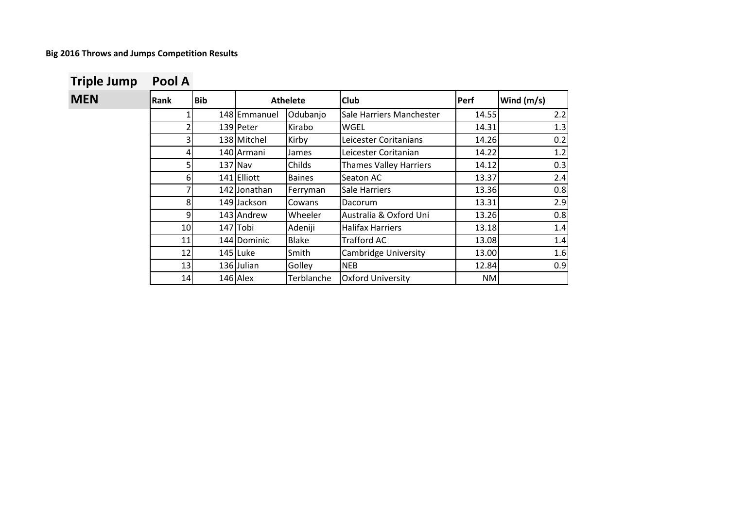**MEN**  $\begin{bmatrix} \text{Rank} \\ \text{Bib} \end{bmatrix}$  Athelete  $\begin{bmatrix} \text{Club} \\ \text{Club} \end{bmatrix}$  Perf  $\begin{bmatrix} \text{Wind (m/s)} \\ \text{Club} \end{bmatrix}$ 1 148 Emmanuel Odubanjo Sale Harriers Manchester | 14.55 | 2.2 2 139 Peter Kirabo WGEL 14.31 1.3 3 138 Mitchel Kirby Leicester Coritanians 14.26 0.2 4 140 Armani James Leicester Coritanian 14.22 1.2 5 137 Nav Childs Thames Valley Harriers 14.12 0.3 6 141 Elliott Baines Seaton AC 13.37 2.4 7 142 Jonathan Ferryman Sale Harriers 13.36 13.36 8 149 Jackson Cowans Dacorum 13.31 2.9 9 143 Andrew Wheeler Australia & Oxford Uni 13.26 0.8 10 147 Tobi Adeniji Halifax Harriers 13.18 1.4 11 144 Dominic Blake Trafford AC 13.08 1.4 12 145 Luke Smith Cambridge University 13.00 1.6 13 136 Julian Golley NEB 12.84 12.84 14 146 Alex Terblanche Oxford University | NM **Athelete**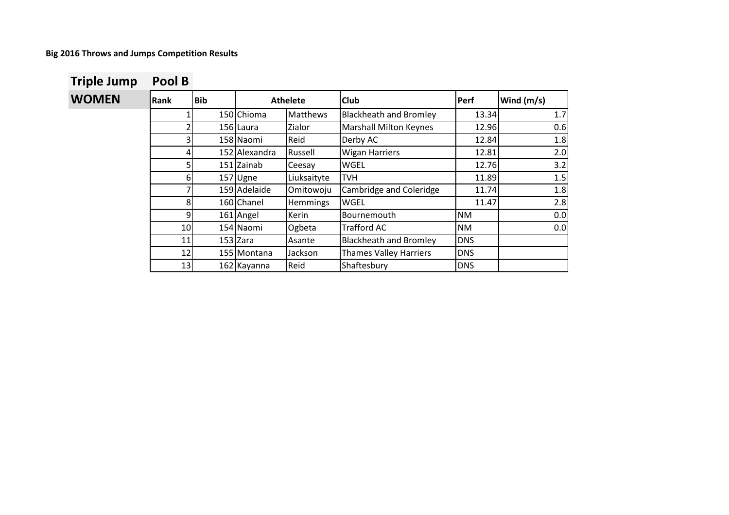|  |  | <b>Triple Jump</b> | Pool B |
|--|--|--------------------|--------|
|--|--|--------------------|--------|

| <b>WOMEN</b> | Rank           | <b>Bib</b> |               | <b>Athelete</b> | <b>Club</b>                   | Perf       | Wind (m/s) |
|--------------|----------------|------------|---------------|-----------------|-------------------------------|------------|------------|
|              |                |            | 150 Chioma    | Matthews        | <b>Blackheath and Bromley</b> | 13.34      | 1.7        |
|              |                |            | 156 Laura     | Zialor          | <b>Marshall Milton Keynes</b> | 12.96      | 0.6        |
|              | $\overline{3}$ |            | 158 Naomi     | Reid            | Derby AC                      | 12.84      | 1.8        |
|              |                |            | 152 Alexandra | Russell         | <b>Wigan Harriers</b>         | 12.81      | 2.0        |
|              |                |            | 151 Zainab    | Ceesay          | WGEL                          | 12.76      | 3.2        |
|              | 61             |            | 157 Ugne      | Liuksaityte     | <b>TVH</b>                    | 11.89      | 1.5        |
|              |                |            | 159 Adelaide  | Omitowoju       | Cambridge and Coleridge       | 11.74      | 1.8        |
|              | 8              |            | 160 Chanel    | <b>Hemmings</b> | <b>WGEL</b>                   | 11.47      | 2.8        |
|              | 9              |            | 161 Angel     | Kerin           | Bournemouth                   | <b>NM</b>  | 0.0        |
|              | 10             |            | 154 Naomi     | Ogbeta          | Trafford AC                   | <b>NM</b>  | 0.0        |
|              | 11             |            | 153 Zara      | Asante          | <b>Blackheath and Bromley</b> | <b>DNS</b> |            |
|              | 12             |            | 155 Montana   | Jackson         | <b>Thames Valley Harriers</b> | <b>DNS</b> |            |
|              | 13             |            | 162 Kayanna   | Reid            | Shaftesbury                   | <b>DNS</b> |            |